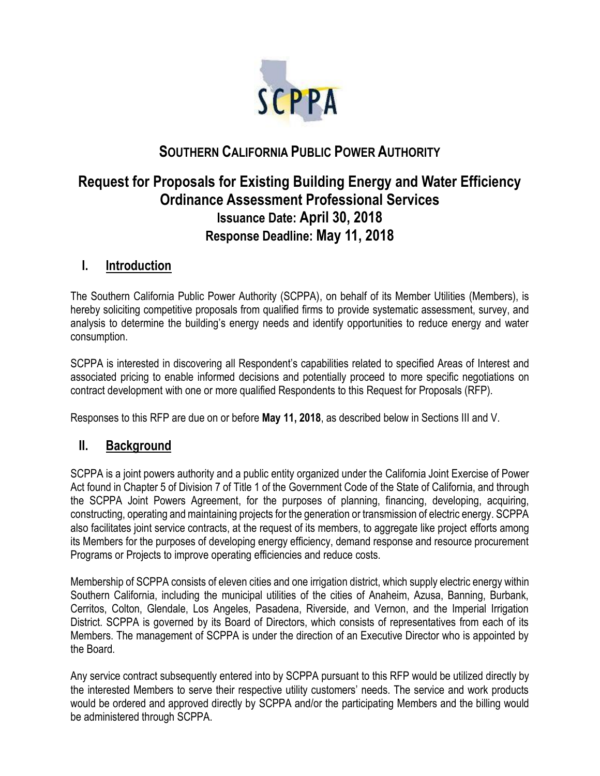

# **SOUTHERN CALIFORNIA PUBLIC POWER AUTHORITY**

# **Request for Proposals for Existing Building Energy and Water Efficiency Ordinance Assessment Professional Services Issuance Date: April 30, 2018 Response Deadline: May 11, 2018**

### **I. Introduction**

The Southern California Public Power Authority (SCPPA), on behalf of its Member Utilities (Members), is hereby soliciting competitive proposals from qualified firms to provide systematic assessment, survey, and analysis to determine the building's energy needs and identify opportunities to reduce energy and water consumption.

SCPPA is interested in discovering all Respondent's capabilities related to specified Areas of Interest and associated pricing to enable informed decisions and potentially proceed to more specific negotiations on contract development with one or more qualified Respondents to this Request for Proposals (RFP).

Responses to this RFP are due on or before **May 11, 2018**, as described below in Sections III and V.

### **II. Background**

SCPPA is a joint powers authority and a public entity organized under the California Joint Exercise of Power Act found in Chapter 5 of Division 7 of Title 1 of the Government Code of the State of California, and through the SCPPA Joint Powers Agreement, for the purposes of planning, financing, developing, acquiring, constructing, operating and maintaining projects for the generation or transmission of electric energy. SCPPA also facilitates joint service contracts, at the request of its members, to aggregate like project efforts among its Members for the purposes of developing energy efficiency, demand response and resource procurement Programs or Projects to improve operating efficiencies and reduce costs.

Membership of SCPPA consists of eleven cities and one irrigation district, which supply electric energy within Southern California, including the municipal utilities of the cities of Anaheim, Azusa, Banning, Burbank, Cerritos, Colton, Glendale, Los Angeles, Pasadena, Riverside, and Vernon, and the Imperial Irrigation District. SCPPA is governed by its Board of Directors, which consists of representatives from each of its Members. The management of SCPPA is under the direction of an Executive Director who is appointed by the Board.

Any service contract subsequently entered into by SCPPA pursuant to this RFP would be utilized directly by the interested Members to serve their respective utility customers' needs. The service and work products would be ordered and approved directly by SCPPA and/or the participating Members and the billing would be administered through SCPPA.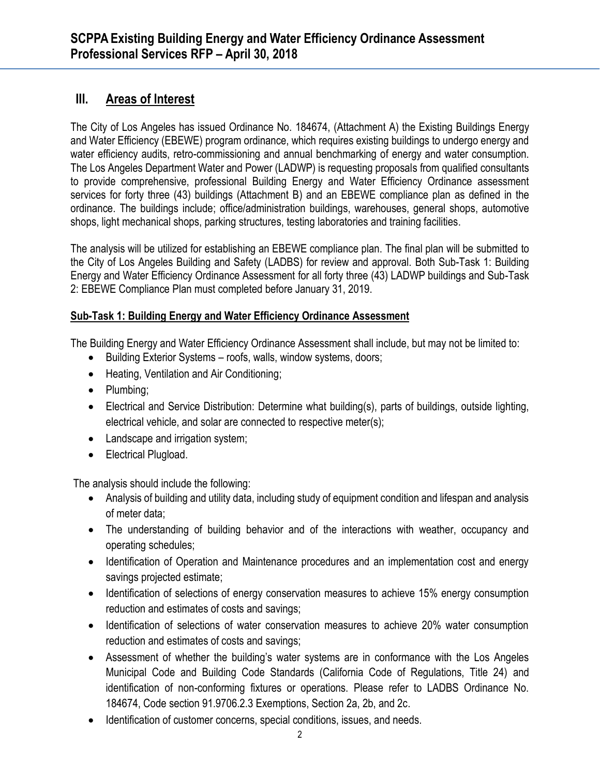# **III. Areas of Interest**

The City of Los Angeles has issued Ordinance No. 184674, (Attachment A) the Existing Buildings Energy and Water Efficiency (EBEWE) program ordinance, which requires existing buildings to undergo energy and water efficiency audits, retro-commissioning and annual benchmarking of energy and water consumption. The Los Angeles Department Water and Power (LADWP) is requesting proposals from qualified consultants to provide comprehensive, professional Building Energy and Water Efficiency Ordinance assessment services for forty three (43) buildings (Attachment B) and an EBEWE compliance plan as defined in the ordinance. The buildings include; office/administration buildings, warehouses, general shops, automotive shops, light mechanical shops, parking structures, testing laboratories and training facilities.

The analysis will be utilized for establishing an EBEWE compliance plan. The final plan will be submitted to the City of Los Angeles Building and Safety (LADBS) for review and approval. Both Sub-Task 1: Building Energy and Water Efficiency Ordinance Assessment for all forty three (43) LADWP buildings and Sub-Task 2: EBEWE Compliance Plan must completed before January 31, 2019.

#### **Sub-Task 1: Building Energy and Water Efficiency Ordinance Assessment**

The Building Energy and Water Efficiency Ordinance Assessment shall include, but may not be limited to:

- Building Exterior Systems roofs, walls, window systems, doors;
- Heating, Ventilation and Air Conditioning;
- Plumbing;
- Electrical and Service Distribution: Determine what building(s), parts of buildings, outside lighting, electrical vehicle, and solar are connected to respective meter(s);
- Landscape and irrigation system;
- Electrical Plugload.

The analysis should include the following:

- Analysis of building and utility data, including study of equipment condition and lifespan and analysis of meter data;
- The understanding of building behavior and of the interactions with weather, occupancy and operating schedules;
- Identification of Operation and Maintenance procedures and an implementation cost and energy savings projected estimate;
- Identification of selections of energy conservation measures to achieve 15% energy consumption reduction and estimates of costs and savings;
- Identification of selections of water conservation measures to achieve 20% water consumption reduction and estimates of costs and savings;
- Assessment of whether the building's water systems are in conformance with the Los Angeles Municipal Code and Building Code Standards (California Code of Regulations, Title 24) and identification of non-conforming fixtures or operations. Please refer to LADBS Ordinance No. 184674, Code section 91.9706.2.3 Exemptions, Section 2a, 2b, and 2c.
- Identification of customer concerns, special conditions, issues, and needs.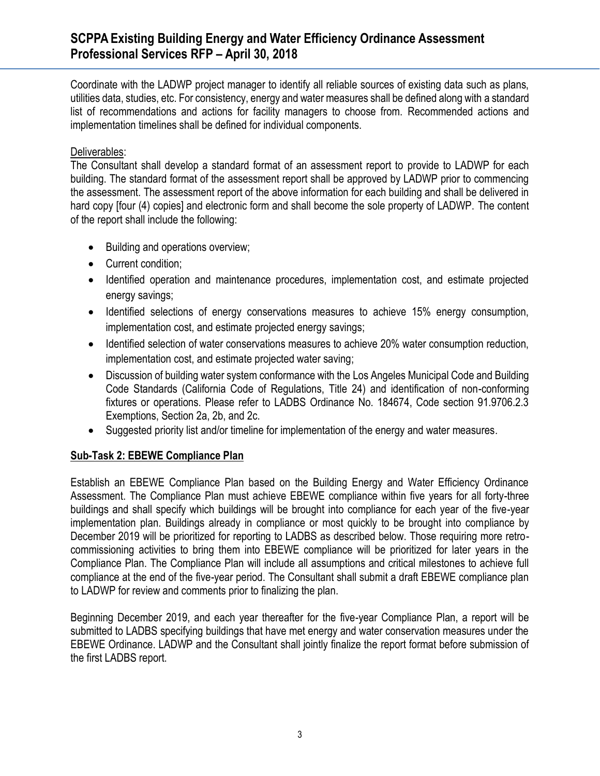### **SCPPA Existing Building Energy and Water Efficiency Ordinance Assessment Professional Services RFP – April 30, 2018**

Coordinate with the LADWP project manager to identify all reliable sources of existing data such as plans, utilities data, studies, etc. For consistency, energy and water measures shall be defined along with a standard list of recommendations and actions for facility managers to choose from. Recommended actions and implementation timelines shall be defined for individual components.

#### Deliverables:

The Consultant shall develop a standard format of an assessment report to provide to LADWP for each building. The standard format of the assessment report shall be approved by LADWP prior to commencing the assessment. The assessment report of the above information for each building and shall be delivered in hard copy [four (4) copies] and electronic form and shall become the sole property of LADWP. The content of the report shall include the following:

- Building and operations overview;
- Current condition;
- Identified operation and maintenance procedures, implementation cost, and estimate projected energy savings;
- Identified selections of energy conservations measures to achieve 15% energy consumption, implementation cost, and estimate projected energy savings;
- Identified selection of water conservations measures to achieve 20% water consumption reduction, implementation cost, and estimate projected water saving;
- Discussion of building water system conformance with the Los Angeles Municipal Code and Building Code Standards (California Code of Regulations, Title 24) and identification of non-conforming fixtures or operations. Please refer to LADBS Ordinance No. 184674, Code section 91.9706.2.3 Exemptions, Section 2a, 2b, and 2c.
- Suggested priority list and/or timeline for implementation of the energy and water measures.

#### **Sub-Task 2: EBEWE Compliance Plan**

Establish an EBEWE Compliance Plan based on the Building Energy and Water Efficiency Ordinance Assessment. The Compliance Plan must achieve EBEWE compliance within five years for all forty-three buildings and shall specify which buildings will be brought into compliance for each year of the five-year implementation plan. Buildings already in compliance or most quickly to be brought into compliance by December 2019 will be prioritized for reporting to LADBS as described below. Those requiring more retrocommissioning activities to bring them into EBEWE compliance will be prioritized for later years in the Compliance Plan. The Compliance Plan will include all assumptions and critical milestones to achieve full compliance at the end of the five-year period. The Consultant shall submit a draft EBEWE compliance plan to LADWP for review and comments prior to finalizing the plan.

Beginning December 2019, and each year thereafter for the five-year Compliance Plan, a report will be submitted to LADBS specifying buildings that have met energy and water conservation measures under the EBEWE Ordinance. LADWP and the Consultant shall jointly finalize the report format before submission of the first LADBS report.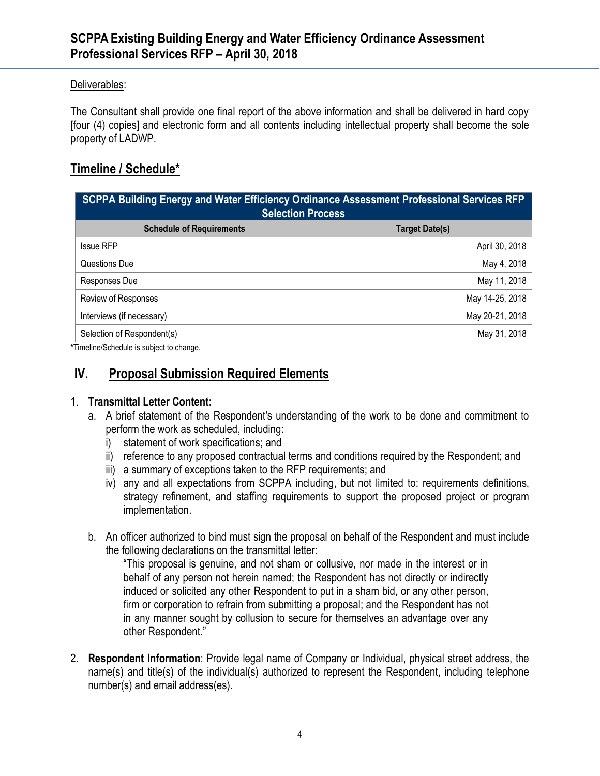#### Deliverables:

The Consultant shall provide one final report of the above information and shall be delivered in hard copy [four (4) copies] and electronic form and all contents including intellectual property shall become the sole property of LADWP.

### **Timeline / Schedule\***

| SCPPA Building Energy and Water Efficiency Ordinance Assessment Professional Services RFP<br><b>Selection Process</b> |                       |
|-----------------------------------------------------------------------------------------------------------------------|-----------------------|
| <b>Schedule of Requirements</b>                                                                                       | <b>Target Date(s)</b> |
| <b>Issue RFP</b>                                                                                                      | April 30, 2018        |
| Questions Due                                                                                                         | May 4, 2018           |
| Responses Due                                                                                                         | May 11, 2018          |
| Review of Responses                                                                                                   | May 14-25, 2018       |
| Interviews (if necessary)                                                                                             | May 20-21, 2018       |
| Selection of Respondent(s)                                                                                            | May 31, 2018          |

**\***Timeline/Schedule is subject to change.

# **IV. Proposal Submission Required Elements**

#### 1. **Transmittal Letter Content:**

- a. A brief statement of the Respondent's understanding of the work to be done and commitment to perform the work as scheduled, including:
	- i) statement of work specifications; and
	- ii) reference to any proposed contractual terms and conditions required by the Respondent; and
	- iii) a summary of exceptions taken to the RFP requirements; and
	- iv) any and all expectations from SCPPA including, but not limited to: requirements definitions, strategy refinement, and staffing requirements to support the proposed project or program implementation.
- b. An officer authorized to bind must sign the proposal on behalf of the Respondent and must include the following declarations on the transmittal letter:

"This proposal is genuine, and not sham or collusive, nor made in the interest or in behalf of any person not herein named; the Respondent has not directly or indirectly induced or solicited any other Respondent to put in a sham bid, or any other person, firm or corporation to refrain from submitting a proposal; and the Respondent has not in any manner sought by collusion to secure for themselves an advantage over any other Respondent."

2. **Respondent Information**: Provide legal name of Company or Individual, physical street address, the name(s) and title(s) of the individual(s) authorized to represent the Respondent, including telephone number(s) and email address(es).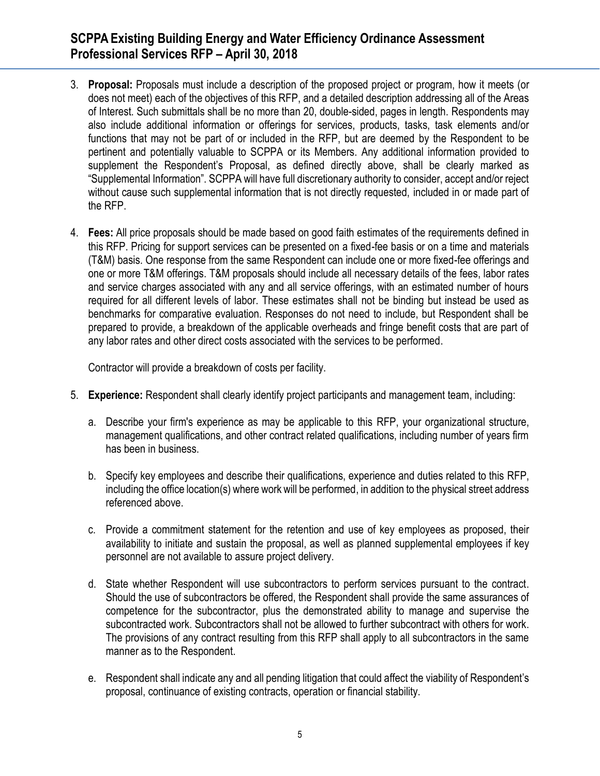# **SCPPA Existing Building Energy and Water Efficiency Ordinance Assessment Professional Services RFP – April 30, 2018**

- 3. **Proposal:** Proposals must include a description of the proposed project or program, how it meets (or does not meet) each of the objectives of this RFP, and a detailed description addressing all of the Areas of Interest. Such submittals shall be no more than 20, double-sided, pages in length. Respondents may also include additional information or offerings for services, products, tasks, task elements and/or functions that may not be part of or included in the RFP, but are deemed by the Respondent to be pertinent and potentially valuable to SCPPA or its Members. Any additional information provided to supplement the Respondent's Proposal, as defined directly above, shall be clearly marked as "Supplemental Information". SCPPA will have full discretionary authority to consider, accept and/or reject without cause such supplemental information that is not directly requested, included in or made part of the RFP.
- 4. **Fees:** All price proposals should be made based on good faith estimates of the requirements defined in this RFP. Pricing for support services can be presented on a fixed-fee basis or on a time and materials (T&M) basis. One response from the same Respondent can include one or more fixed-fee offerings and one or more T&M offerings. T&M proposals should include all necessary details of the fees, labor rates and service charges associated with any and all service offerings, with an estimated number of hours required for all different levels of labor. These estimates shall not be binding but instead be used as benchmarks for comparative evaluation. Responses do not need to include, but Respondent shall be prepared to provide, a breakdown of the applicable overheads and fringe benefit costs that are part of any labor rates and other direct costs associated with the services to be performed.

Contractor will provide a breakdown of costs per facility.

- 5. **Experience:** Respondent shall clearly identify project participants and management team, including:
	- a. Describe your firm's experience as may be applicable to this RFP, your organizational structure, management qualifications, and other contract related qualifications, including number of years firm has been in business.
	- b. Specify key employees and describe their qualifications, experience and duties related to this RFP, including the office location(s) where work will be performed, in addition to the physical street address referenced above.
	- c. Provide a commitment statement for the retention and use of key employees as proposed, their availability to initiate and sustain the proposal, as well as planned supplemental employees if key personnel are not available to assure project delivery.
	- d. State whether Respondent will use subcontractors to perform services pursuant to the contract. Should the use of subcontractors be offered, the Respondent shall provide the same assurances of competence for the subcontractor, plus the demonstrated ability to manage and supervise the subcontracted work. Subcontractors shall not be allowed to further subcontract with others for work. The provisions of any contract resulting from this RFP shall apply to all subcontractors in the same manner as to the Respondent.
	- e. Respondent shall indicate any and all pending litigation that could affect the viability of Respondent's proposal, continuance of existing contracts, operation or financial stability.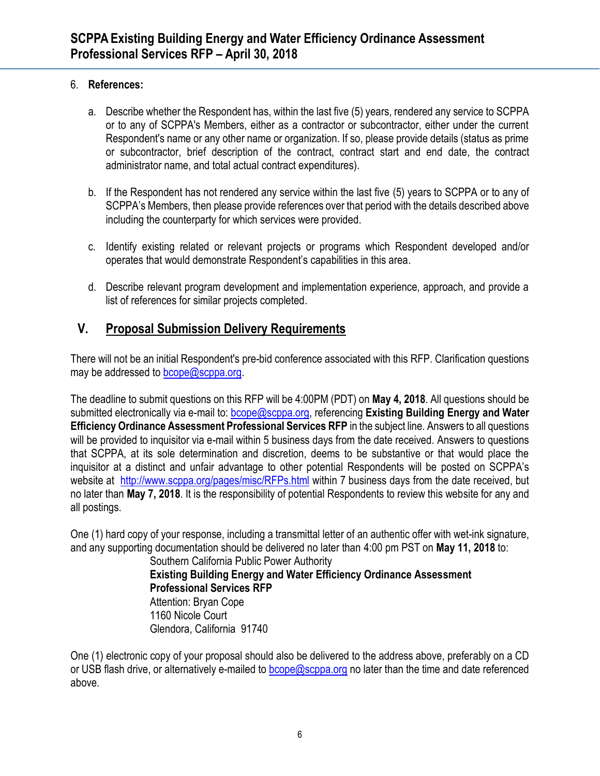#### 6. **References:**

- a. Describe whether the Respondent has, within the last five (5) years, rendered any service to SCPPA or to any of SCPPA's Members, either as a contractor or subcontractor, either under the current Respondent's name or any other name or organization. If so, please provide details (status as prime or subcontractor, brief description of the contract, contract start and end date, the contract administrator name, and total actual contract expenditures).
- b. If the Respondent has not rendered any service within the last five (5) years to SCPPA or to any of SCPPA's Members, then please provide references over that period with the details described above including the counterparty for which services were provided.
- c. Identify existing related or relevant projects or programs which Respondent developed and/or operates that would demonstrate Respondent's capabilities in this area.
- d. Describe relevant program development and implementation experience, approach, and provide a list of references for similar projects completed.

# **V. Proposal Submission Delivery Requirements**

There will not be an initial Respondent's pre-bid conference associated with this RFP. Clarification questions may be addressed to [bcope@scppa.org.](mailto:bcope@scppa.org)

The deadline to submit questions on this RFP will be 4:00PM (PDT) on **May 4, 2018**. All questions should be submitted electronically via e-mail to: [bcope@scppa.org,](file://///app-server/data/RFPs_RFQs_RFIs/Public%20Benefits%20Committee/Paperless%20Rebate%20Automation/RFP/bcope@scppa.org) referencing **Existing Building Energy and Water Efficiency Ordinance Assessment Professional Services RFP** in the subject line. Answers to all questions will be provided to inquisitor via e-mail within 5 business days from the date received. Answers to questions that SCPPA, at its sole determination and discretion, deems to be substantive or that would place the inquisitor at a distinct and unfair advantage to other potential Respondents will be posted on SCPPA's website at <http://www.scppa.org/pages/misc/RFPs.html> within 7 business days from the date received, but no later than **May 7, 2018**. It is the responsibility of potential Respondents to review this website for any and all postings.

One (1) hard copy of your response, including a transmittal letter of an authentic offer with wet-ink signature, and any supporting documentation should be delivered no later than 4:00 pm PST on **May 11, 2018** to:

Southern California Public Power Authority **Existing Building Energy and Water Efficiency Ordinance Assessment Professional Services RFP** Attention: Bryan Cope 1160 Nicole Court Glendora, California 91740

One (1) electronic copy of your proposal should also be delivered to the address above, preferably on a CD or USB flash drive, or alternatively e-mailed to [bcope@scppa.org](mailto:bcope@scppa.org) no later than the time and date referenced above.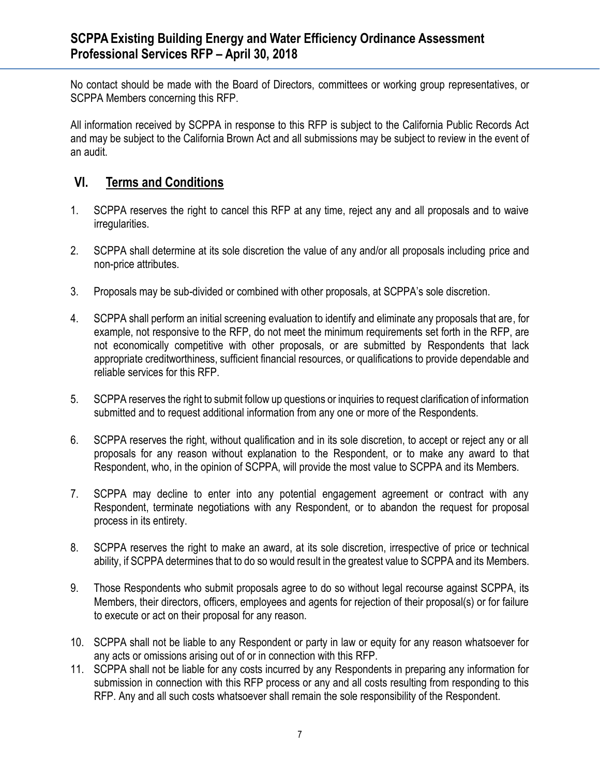No contact should be made with the Board of Directors, committees or working group representatives, or SCPPA Members concerning this RFP.

All information received by SCPPA in response to this RFP is subject to the California Public Records Act and may be subject to the California Brown Act and all submissions may be subject to review in the event of an audit.

# **VI. Terms and Conditions**

- 1. SCPPA reserves the right to cancel this RFP at any time, reject any and all proposals and to waive irregularities.
- 2. SCPPA shall determine at its sole discretion the value of any and/or all proposals including price and non-price attributes.
- 3. Proposals may be sub-divided or combined with other proposals, at SCPPA's sole discretion.
- 4. SCPPA shall perform an initial screening evaluation to identify and eliminate any proposals that are, for example, not responsive to the RFP, do not meet the minimum requirements set forth in the RFP, are not economically competitive with other proposals, or are submitted by Respondents that lack appropriate creditworthiness, sufficient financial resources, or qualifications to provide dependable and reliable services for this RFP.
- 5. SCPPA reserves the right to submit follow up questions or inquiries to request clarification of information submitted and to request additional information from any one or more of the Respondents.
- 6. SCPPA reserves the right, without qualification and in its sole discretion, to accept or reject any or all proposals for any reason without explanation to the Respondent, or to make any award to that Respondent, who, in the opinion of SCPPA, will provide the most value to SCPPA and its Members.
- 7. SCPPA may decline to enter into any potential engagement agreement or contract with any Respondent, terminate negotiations with any Respondent, or to abandon the request for proposal process in its entirety.
- 8. SCPPA reserves the right to make an award, at its sole discretion, irrespective of price or technical ability, if SCPPA determines that to do so would result in the greatest value to SCPPA and its Members.
- 9. Those Respondents who submit proposals agree to do so without legal recourse against SCPPA, its Members, their directors, officers, employees and agents for rejection of their proposal(s) or for failure to execute or act on their proposal for any reason.
- 10. SCPPA shall not be liable to any Respondent or party in law or equity for any reason whatsoever for any acts or omissions arising out of or in connection with this RFP.
- 11. SCPPA shall not be liable for any costs incurred by any Respondents in preparing any information for submission in connection with this RFP process or any and all costs resulting from responding to this RFP. Any and all such costs whatsoever shall remain the sole responsibility of the Respondent.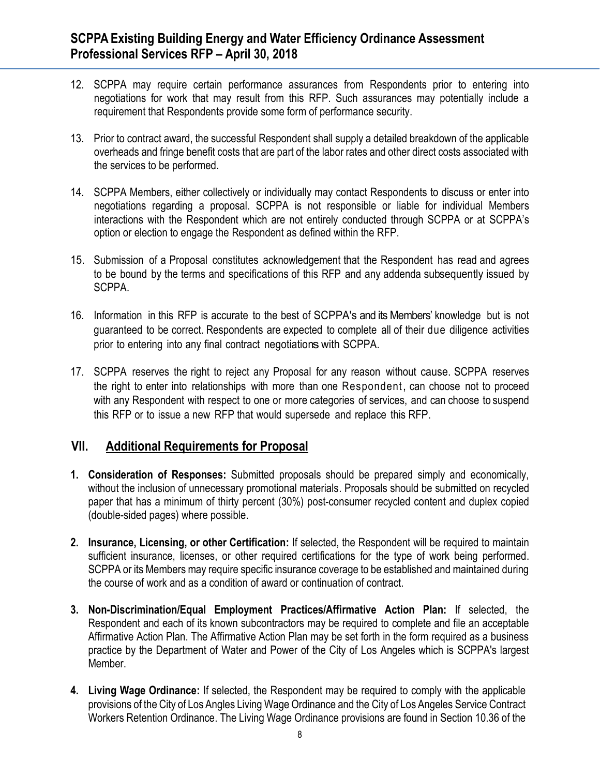- 12. SCPPA may require certain performance assurances from Respondents prior to entering into negotiations for work that may result from this RFP. Such assurances may potentially include a requirement that Respondents provide some form of performance security.
- 13. Prior to contract award, the successful Respondent shall supply a detailed breakdown of the applicable overheads and fringe benefit costs that are part of the labor rates and other direct costs associated with the services to be performed.
- 14. SCPPA Members, either collectively or individually may contact Respondents to discuss or enter into negotiations regarding a proposal. SCPPA is not responsible or liable for individual Members interactions with the Respondent which are not entirely conducted through SCPPA or at SCPPA's option or election to engage the Respondent as defined within the RFP.
- 15. Submission of a Proposal constitutes acknowledgement that the Respondent has read and agrees to be bound by the terms and specifications of this RFP and any addenda subsequently issued by SCPPA.
- 16. Information in this RFP is accurate to the best of SCPPA's and its Members' knowledge but is not guaranteed to be correct. Respondents are expected to complete all of their due diligence activities prior to entering into any final contract negotiations with SCPPA.
- 17. SCPPA reserves the right to reject any Proposal for any reason without cause. SCPPA reserves the right to enter into relationships with more than one Respondent, can choose not to proceed with any Respondent with respect to one or more categories of services, and can choose to suspend this RFP or to issue a new RFP that would supersede and replace this RFP.

### **VII. Additional Requirements for Proposal**

- **1. Consideration of Responses:** Submitted proposals should be prepared simply and economically, without the inclusion of unnecessary promotional materials. Proposals should be submitted on recycled paper that has a minimum of thirty percent (30%) post-consumer recycled content and duplex copied (double-sided pages) where possible.
- **2. Insurance, Licensing, or other Certification:** If selected, the Respondent will be required to maintain sufficient insurance, licenses, or other required certifications for the type of work being performed. SCPPA or its Members may require specific insurance coverage to be established and maintained during the course of work and as a condition of award or continuation of contract.
- **3. Non-Discrimination/Equal Employment Practices/Affirmative Action Plan:** If selected, the Respondent and each of its known subcontractors may be required to complete and file an acceptable Affirmative Action Plan. The Affirmative Action Plan may be set forth in the form required as a business practice by the Department of Water and Power of the City of Los Angeles which is SCPPA's largest Member.
- **4. Living Wage Ordinance:** If selected, the Respondent may be required to comply with the applicable provisions of the City of Los Angles Living Wage Ordinance and the City of Los Angeles Service Contract Workers Retention Ordinance. The Living Wage Ordinance provisions are found in Section 10.36 of the